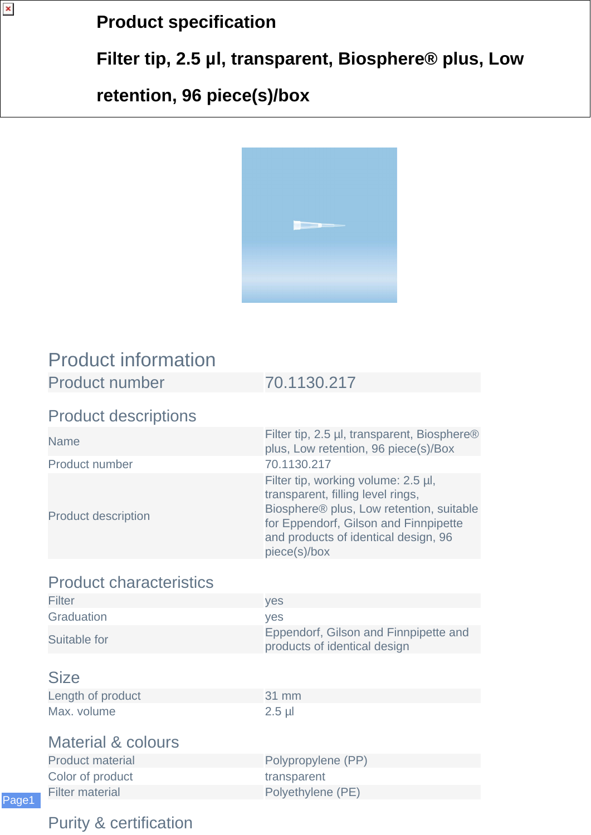### **Product specification**

**Filter tip, 2.5 µl, transparent, Biosphere® plus, Low**

## **retention, 96 piece(s)/box**



# Product information

| <b>Product number</b> | 70.1130.217 |
|-----------------------|-------------|
|-----------------------|-------------|

#### Product descriptions

| <b>Name</b>                | Filter tip, 2.5 µl, transparent, Biosphere®<br>plus, Low retention, 96 piece(s)/Box                                                                                                                                   |
|----------------------------|-----------------------------------------------------------------------------------------------------------------------------------------------------------------------------------------------------------------------|
| Product number             | 70.1130.217                                                                                                                                                                                                           |
| <b>Product description</b> | Filter tip, working volume: 2.5 µl,<br>transparent, filling level rings,<br>Biosphere® plus, Low retention, suitable<br>for Eppendorf, Gilson and Finnpipette<br>and products of identical design, 96<br>piece(s)/box |

#### Product characteristics

| Filter       | <b>ves</b>                                                            |
|--------------|-----------------------------------------------------------------------|
| Graduation   | <b>ves</b>                                                            |
| Suitable for | Eppendorf, Gilson and Finnpipette and<br>products of identical design |

#### **Size**

Page1

 $\pmb{\times}$ 

| Length of product |  |
|-------------------|--|
| Max. volume       |  |

 $31$  mm  $2.5$  µl

#### Material & colours

| <b>Product material</b> | Polypropylene (PP) |
|-------------------------|--------------------|
| Color of product        | transparent        |
| Filter material         | Polyethylene (PE)  |
|                         |                    |